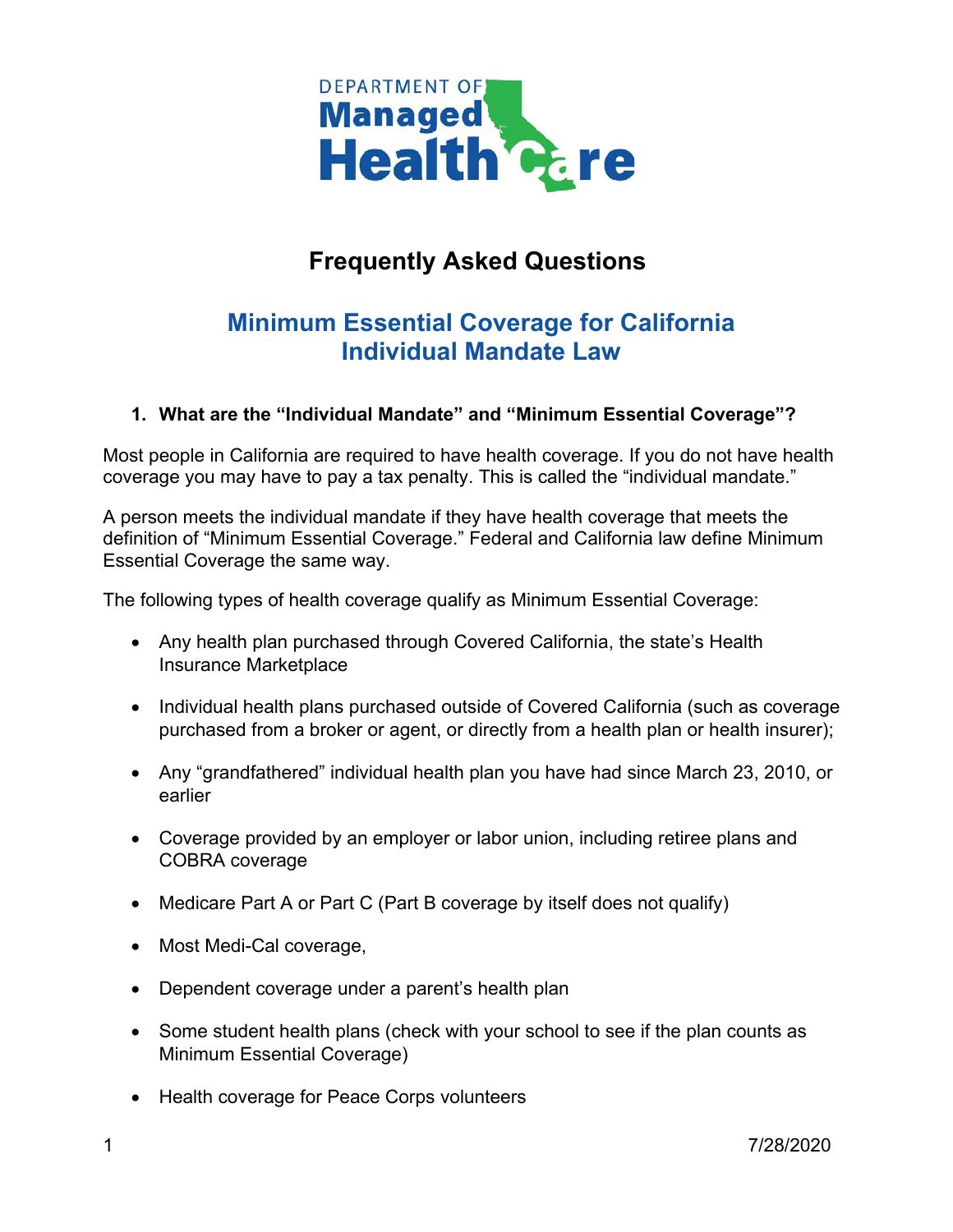

## **Frequently Asked Questions**

## **Minimum Essential Coverage for California Individual Mandate Law**

## **1. What are the "Individual Mandate" and "Minimum Essential Coverage"?**

Most people in California are required to have health coverage. If you do not have health coverage you may have to pay a tax penalty. This is called the "individual mandate."

A person meets the individual mandate if they have health coverage that meets the definition of "Minimum Essential Coverage." Federal and California law define Minimum Essential Coverage the same way.

The following types of health coverage qualify as Minimum Essential Coverage:

- Any health plan purchased through Covered California, the state's Health Insurance Marketplace
- Individual health plans purchased outside of Covered California (such as coverage purchased from a broker or agent, or directly from a health plan or health insurer);
- Any "grandfathered" individual health plan you have had since March 23, 2010, or earlier
- Coverage provided by an employer or labor union, including retiree plans and COBRA coverage
- Medicare Part A or Part C (Part B coverage by itself does not qualify)
- Most Medi-Cal coverage,
- Dependent coverage under a parent's health plan
- Some student health plans (check with your school to see if the plan counts as Minimum Essential Coverage)
- Health coverage for Peace Corps volunteers